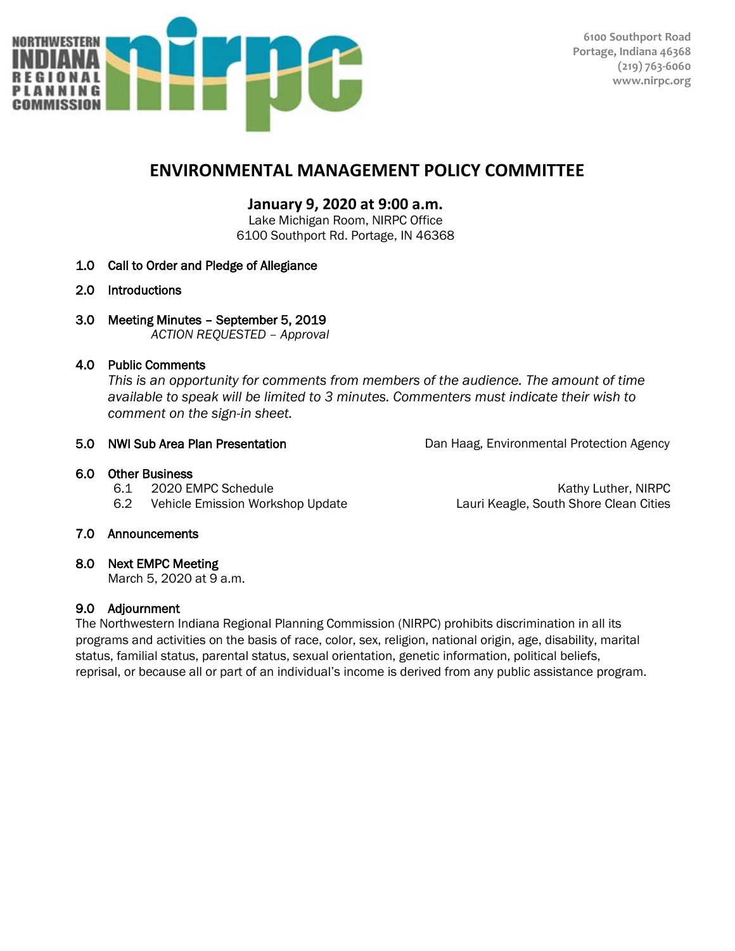

# **ENVIRONMENTAL MANAGEMENT POLICY COMMITTEE**

## **January 9, 2020 at 9:00 a.m.**

Lake Michigan Room, NIRPC Office 6100 Southport Rd. Portage, IN 46368

- 1.0 Call to Order and Pledge of Allegiance
- 2.0 Introductions
- 3.0 Meeting Minutes September 5, 2019

*ACTION REQUESTED – Approval*

### 4.0 Public Comments

 *This is an opportunity for comments from members of the audience. The amount of time available to speak will be limited to 3 minutes. Commenters must indicate their wish to comment on the sign-in sheet.*

5.0 **NWI Sub Area Plan Presentation** Dan Haag, Environmental Protection Agency

#### 6.0 Other Business

- 
- 6.2 Vehicle Emission Workshop Update Lauri Keagle, South Shore Clean Cities

6.1 2020 EMPC Schedule **Kathy Luther, NIRPC** 6.1 2020 EMPC Schedule

### 7.0 Announcements

### 8.0 Next EMPC Meeting

March 5, 2020 at 9 a.m.

### 9.0 Adjournment

The Northwestern Indiana Regional Planning Commission (NIRPC) prohibits discrimination in all its programs and activities on the basis of race, color, sex, religion, national origin, age, disability, marital status, familial status, parental status, sexual orientation, genetic information, political beliefs, reprisal, or because all or part of an individual's income is derived from any public assistance program.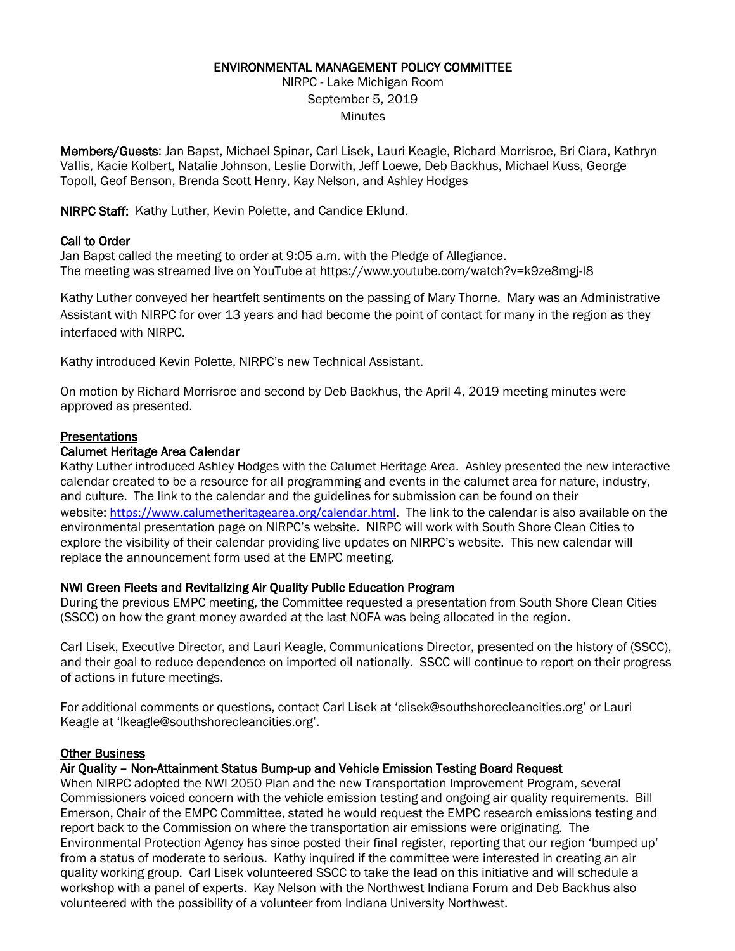#### ENVIRONMENTAL MANAGEMENT POLICY COMMITTEE

NIRPC - Lake Michigan Room September 5, 2019 **Minutes** 

Members/Guests: Jan Bapst, Michael Spinar, Carl Lisek, Lauri Keagle, Richard Morrisroe, Bri Ciara, Kathryn Vallis, Kacie Kolbert, Natalie Johnson, Leslie Dorwith, Jeff Loewe, Deb Backhus, Michael Kuss, George Topoll, Geof Benson, Brenda Scott Henry, Kay Nelson, and Ashley Hodges

NIRPC Staff: Kathy Luther, Kevin Polette, and Candice Eklund.

#### Call to Order

Jan Bapst called the meeting to order at 9:05 a.m. with the Pledge of Allegiance. The meeting was streamed live on YouTube at https://www.youtube.com/watch?v=k9ze8mgj-I8

Kathy Luther conveyed her heartfelt sentiments on the passing of Mary Thorne. Mary was an Administrative Assistant with NIRPC for over 13 years and had become the point of contact for many in the region as they interfaced with NIRPC.

Kathy introduced Kevin Polette, NIRPC's new Technical Assistant.

On motion by Richard Morrisroe and second by Deb Backhus, the April 4, 2019 meeting minutes were approved as presented.

#### **Presentations**

#### Calumet Heritage Area Calendar

Kathy Luther introduced Ashley Hodges with the Calumet Heritage Area. Ashley presented the new interactive calendar created to be a resource for all programming and events in the calumet area for nature, industry, and culture. The link to the calendar and the guidelines for submission can be found on their website: <https://www.calumetheritagearea.org/calendar.html>. The link to the calendar is also available on the environmental presentation page on NIRPC's website. NIRPC will work with South Shore Clean Cities to explore the visibility of their calendar providing live updates on NIRPC's website. This new calendar will replace the announcement form used at the EMPC meeting.

### NWI Green Fleets and Revitalizing Air Quality Public Education Program

During the previous EMPC meeting, the Committee requested a presentation from South Shore Clean Cities (SSCC) on how the grant money awarded at the last NOFA was being allocated in the region.

Carl Lisek, Executive Director, and Lauri Keagle, Communications Director, presented on the history of (SSCC), and their goal to reduce dependence on imported oil nationally. SSCC will continue to report on their progress of actions in future meetings.

For additional comments or questions, contact Carl Lisek at 'clisek@southshorecleancities.org' or Lauri Keagle at 'lkeagle@southshorecleancities.org'.

#### **Other Business**

#### Air Quality – Non-Attainment Status Bump-up and Vehicle Emission Testing Board Request

When NIRPC adopted the NWI 2050 Plan and the new Transportation Improvement Program, several Commissioners voiced concern with the vehicle emission testing and ongoing air quality requirements. Bill Emerson, Chair of the EMPC Committee, stated he would request the EMPC research emissions testing and report back to the Commission on where the transportation air emissions were originating. The Environmental Protection Agency has since posted their final register, reporting that our region 'bumped up' from a status of moderate to serious. Kathy inquired if the committee were interested in creating an air quality working group. Carl Lisek volunteered SSCC to take the lead on this initiative and will schedule a workshop with a panel of experts. Kay Nelson with the Northwest Indiana Forum and Deb Backhus also volunteered with the possibility of a volunteer from Indiana University Northwest.